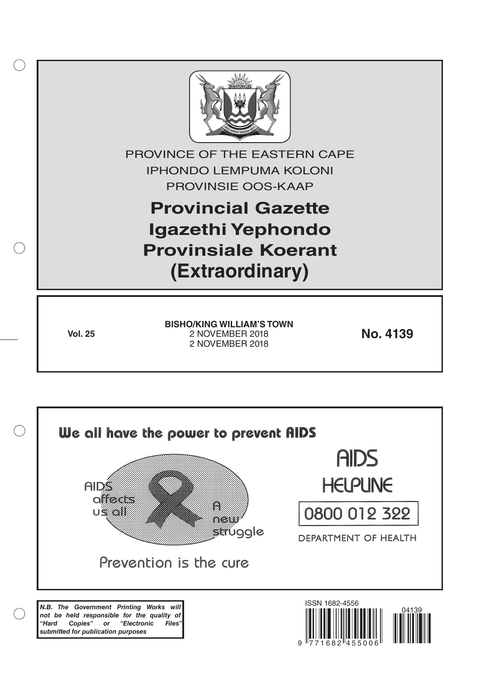

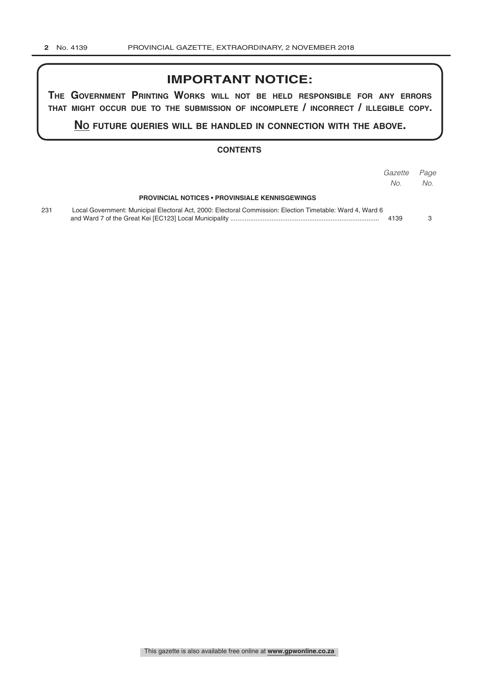# **IMPORTANT NOTICE:**

**The GovernmenT PrinTinG Works Will noT be held resPonsible for any errors ThaT miGhT occur due To The submission of incomPleTe / incorrecT / illeGible coPy.**

**no fuTure queries Will be handled in connecTion WiTh The above.**

#### **CONTENTS**

|     |                                                                                                           | Gazette | Page |
|-----|-----------------------------------------------------------------------------------------------------------|---------|------|
|     |                                                                                                           | No.     | No.  |
|     | <b>PROVINCIAL NOTICES • PROVINSIALE KENNISGEWINGS</b>                                                     |         |      |
| 231 | Local Government: Municipal Electoral Act, 2000: Electoral Commission: Election Timetable: Ward 4, Ward 6 | 4139    |      |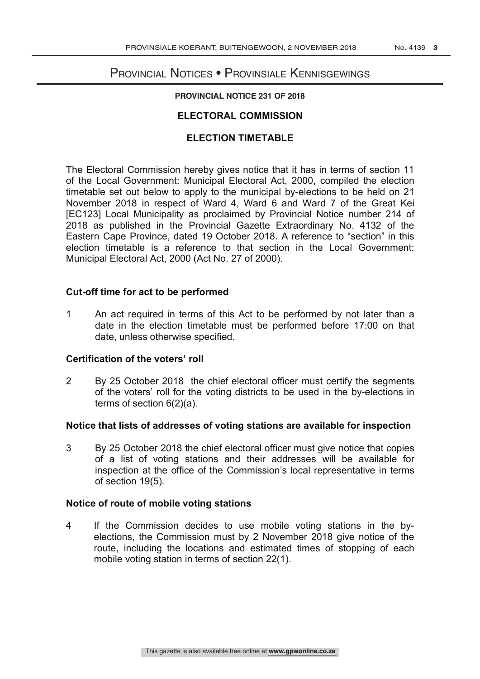## Provincial Notices • Provinsiale Kennisgewings

#### **PROVINCIAL NOTICE 231 OF 2018**

## **ELECTORAL COMMISSION**

## **ELECTION TIMETABLE**

The Electoral Commission hereby gives notice that it has in terms of section 11 of the Local Government: Municipal Electoral Act, 2000, compiled the election timetable set out below to apply to the municipal by-elections to be held on 21 November 2018 in respect of Ward 4, Ward 6 and Ward 7 of the Great Kei [EC123] Local Municipality as proclaimed by Provincial Notice number 214 of 2018 as published in the Provincial Gazette Extraordinary No. 4132 of the Eastern Cape Province, dated 19 October 2018. A reference to "section" in this election timetable is a reference to that section in the Local Government: Municipal Electoral Act, 2000 (Act No. 27 of 2000).

#### **Cut-off time for act to be performed**

1 An act required in terms of this Act to be performed by not later than a date in the election timetable must be performed before 17:00 on that date, unless otherwise specified.

#### **Certification of the voters' roll**

2 By 25 October 2018 the chief electoral officer must certify the segments of the voters' roll for the voting districts to be used in the by-elections in terms of section 6(2)(a).

#### **Notice that lists of addresses of voting stations are available for inspection**

3 By 25 October 2018 the chief electoral officer must give notice that copies of a list of voting stations and their addresses will be available for inspection at the office of the Commission's local representative in terms of section 19(5).

#### **Notice of route of mobile voting stations**

4 If the Commission decides to use mobile voting stations in the byelections, the Commission must by 2 November 2018 give notice of the route, including the locations and estimated times of stopping of each mobile voting station in terms of section 22(1).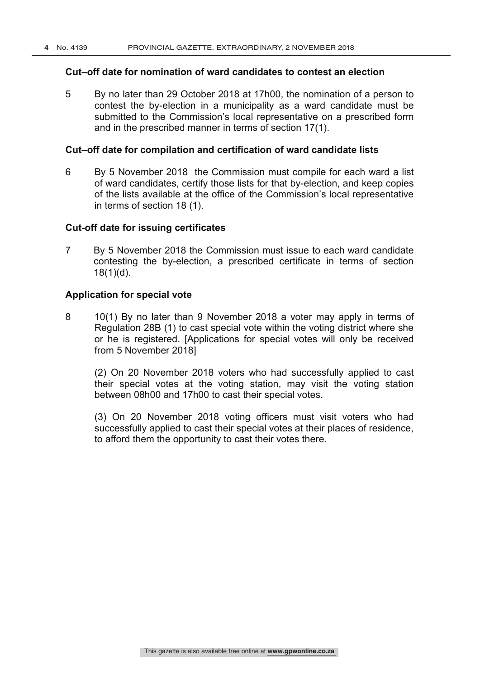#### **Cut–off date for nomination of ward candidates to contest an election**

5 By no later than 29 October 2018 at 17h00, the nomination of a person to contest the by-election in a municipality as a ward candidate must be submitted to the Commission's local representative on a prescribed form and in the prescribed manner in terms of section 17(1).

#### **Cut–off date for compilation and certification of ward candidate lists**

6 By 5 November 2018 the Commission must compile for each ward a list of ward candidates, certify those lists for that by-election, and keep copies of the lists available at the office of the Commission's local representative in terms of section 18 (1).

#### **Cut-off date for issuing certificates**

7 By 5 November 2018 the Commission must issue to each ward candidate contesting the by-election, a prescribed certificate in terms of section  $18(1)(d)$ .

#### **Application for special vote**

8 10(1) By no later than 9 November 2018 a voter may apply in terms of Regulation 28B (1) to cast special vote within the voting district where she or he is registered. [Applications for special votes will only be received from 5 November 2018]

(2) On 20 November 2018 voters who had successfully applied to cast their special votes at the voting station, may visit the voting station between 08h00 and 17h00 to cast their special votes.

(3) On 20 November 2018 voting officers must visit voters who had successfully applied to cast their special votes at their places of residence, to afford them the opportunity to cast their votes there.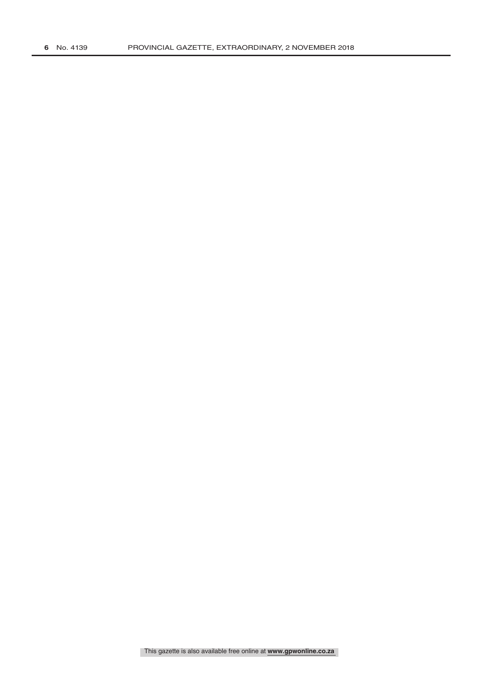This gazette is also available free online at **www.gpwonline.co.za**